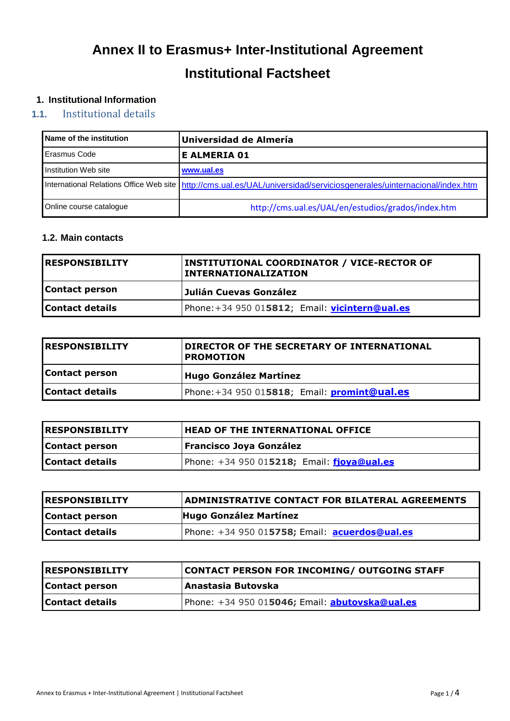# **Annex II to Erasmus+ Inter-Institutional Agreement Institutional Factsheet**

# **1. Institutional Information**

# **1.1.** Institutional details

| <b>Name of the institution</b> | Universidad de Almería                                                                                                  |
|--------------------------------|-------------------------------------------------------------------------------------------------------------------------|
| Erasmus Code                   | E ALMERIA 01                                                                                                            |
| Institution Web site           | www.ual.es                                                                                                              |
|                                | International Relations Office Web site   http://cms.ual.es/UAL/universidad/serviciosgenerales/uinternacional/index.htm |
| Online course cataloque        | http://cms.ual.es/UAL/en/estudios/grados/index.htm                                                                      |

#### **1.2. Main contacts**

| <b>RESPONSIBILITY</b> | INSTITUTIONAL COORDINATOR / VICE-RECTOR OF<br><b>INTERNATIONALIZATION</b> |
|-----------------------|---------------------------------------------------------------------------|
| <b>Contact person</b> | Julián Cuevas González                                                    |
| Contact details       | Phone:+34 950 015812; Email: vicintern@ual.es                             |

| <b>IRESPONSIBILITY</b> | DIRECTOR OF THE SECRETARY OF INTERNATIONAL<br><b>PROMOTION</b> |
|------------------------|----------------------------------------------------------------|
| <b>Contact person</b>  | Hugo González Martínez                                         |
| Contact details        | Phone:+34 950 015818; Email: promint@ual.es                    |

| <b>RESPONSIBILITY</b> | <b>HEAD OF THE INTERNATIONAL OFFICE</b>        |  |
|-----------------------|------------------------------------------------|--|
| <b>Contact person</b> | <b>Francisco Joya González</b>                 |  |
| Contact details       | Phone: $+34$ 950 015218; Email: $fjoya@ual.es$ |  |

| <b>RESPONSIBILITY</b> | <b>ADMINISTRATIVE CONTACT FOR BILATERAL AGREEMENTS</b> |  |
|-----------------------|--------------------------------------------------------|--|
| <b>Contact person</b> | <b>Hugo González Martínez</b>                          |  |
| Contact details       | Phone: $+34$ 950 015758; Email: acuerdos@ual.es        |  |

| <b>RESPONSIBILITY</b> | <b>CONTACT PERSON FOR INCOMING/ OUTGOING STAFF</b>    |  |
|-----------------------|-------------------------------------------------------|--|
| Contact person        | Anastasia Butovska                                    |  |
| Contact details       | Phone: +34 950 015046; Email: <b>abutovska@ual.es</b> |  |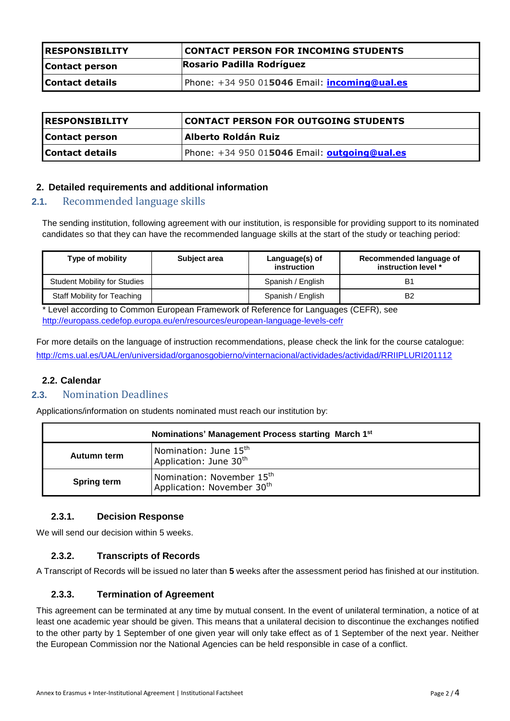| IRESPONSIBILITY       | <b>CONTACT PERSON FOR INCOMING STUDENTS</b>                                          |  |
|-----------------------|--------------------------------------------------------------------------------------|--|
| <b>Contact person</b> | Rosario Padilla Rodríguez                                                            |  |
| Contact details       | Phone: $+34$ 950 015046 Email: $\frac{\text{incomingQuales}}{\text{incomingQuales}}$ |  |

| <b>RESPONSIBILITY</b>  | CONTACT PERSON FOR OUTGOING STUDENTS                |  |
|------------------------|-----------------------------------------------------|--|
| Contact person         | Alberto Roldán Ruiz                                 |  |
| <b>Contact details</b> | Phone: +34 950 015046 Email: <b>outgoing@ual.es</b> |  |

## **2. Detailed requirements and additional information**

## **2.1.** Recommended language skills

The sending institution, following agreement with our institution, is responsible for providing support to its nominated candidates so that they can have the recommended language skills at the start of the study or teaching period:

| Type of mobility                    | Subject area | Language(s) of<br>instruction | Recommended language of<br>instruction level * |
|-------------------------------------|--------------|-------------------------------|------------------------------------------------|
| <b>Student Mobility for Studies</b> |              | Spanish / English             | B <sup>1</sup>                                 |
| Staff Mobility for Teaching         |              | Spanish / English             | B <sub>2</sub>                                 |

\* Level according to Common European Framework of Reference for Languages (CEFR), see <http://europass.cedefop.europa.eu/en/resources/european-language-levels-cefr>

For more details on the language of instruction recommendations, please check the link for the course catalogue: <http://cms.ual.es/UAL/en/universidad/organosgobierno/vinternacional/actividades/actividad/RRIIPLURI201112>

#### **2.2. Calendar**

## **2.3.** Nomination Deadlines

Applications/information on students nominated must reach our institution by:

| Nominations' Management Process starting March 1st |                                                                                 |
|----------------------------------------------------|---------------------------------------------------------------------------------|
| Autumn term                                        | Nomination: June $15^{\text{th}}$<br>Application: June 30 <sup>th</sup>         |
| <b>Spring term</b>                                 | Nomination: November 15 <sup>th</sup><br>Application: November 30 <sup>th</sup> |

#### **2.3.1. Decision Response**

We will send our decision within 5 weeks.

#### **2.3.2. Transcripts of Records**

A Transcript of Records will be issued no later than **5** weeks after the assessment period has finished at our institution.

#### **2.3.3. Termination of Agreement**

This agreement can be terminated at any time by mutual consent. In the event of unilateral termination, a notice of at least one academic year should be given. This means that a unilateral decision to discontinue the exchanges notified to the other party by 1 September of one given year will only take effect as of 1 September of the next year. Neither the European Commission nor the National Agencies can be held responsible in case of a conflict.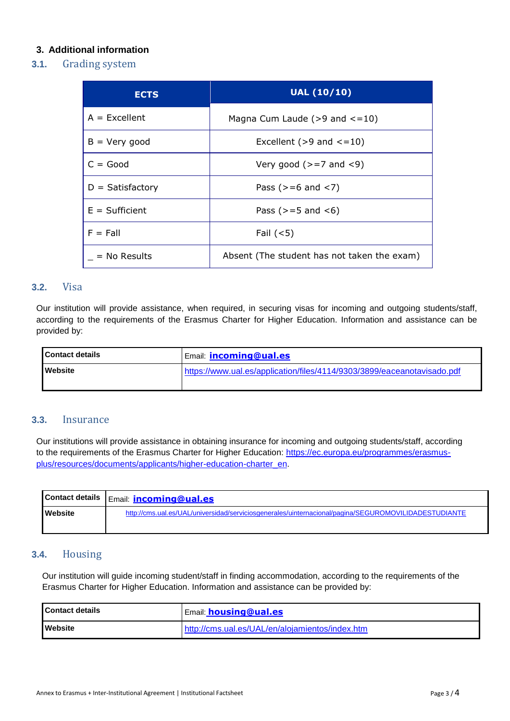# **3. Additional information**

## **3.1.** Grading system

| <b>ECTS</b>        | <b>UAL (10/10)</b>                          |
|--------------------|---------------------------------------------|
| $A = Excellent$    | Magna Cum Laude ( $>9$ and $<=10$ )         |
| $B = Very good$    | Excellent ( $>9$ and $\leq=10$ )            |
| $C = Good$         | Very good ( $>=$ 7 and $<$ 9)               |
| $D =$ Satisfactory | Pass ( $> = 6$ and $< 7$ )                  |
| $E = Sufficient$   | Pass ( $> = 5$ and $< 6$ )                  |
| $F = Fall$         | Fail $(<5)$                                 |
| $=$ No Results     | Absent (The student has not taken the exam) |

#### **3.2.** Visa

Our institution will provide assistance, when required, in securing visas for incoming and outgoing students/staff, according to the requirements of the Erasmus Charter for Higher Education. Information and assistance can be provided by:

| I Contact details | <b>Email: incoming@ual.es</b>                                           |
|-------------------|-------------------------------------------------------------------------|
| Website           | https://www.ual.es/application/files/4114/9303/3899/eaceanotavisado.pdf |

## **3.3.** Insurance

Our institutions will provide assistance in obtaining insurance for incoming and outgoing students/staff, according to the requirements of the Erasmus Charter for Higher Education: [https://ec.europa.eu/programmes/erasmus](https://ec.europa.eu/programmes/erasmus-plus/resources/documents/applicants/higher-education-charter_en)[plus/resources/documents/applicants/higher-education-charter\\_en.](https://ec.europa.eu/programmes/erasmus-plus/resources/documents/applicants/higher-education-charter_en)

|                | Contact details   Email: <b>incoming@ual.es</b>                                                      |
|----------------|------------------------------------------------------------------------------------------------------|
| <b>Website</b> | http://cms.ual.es/UAL/universidad/serviciosgenerales/uinternacional/pagina/SEGUROMOVILIDADESTUDIANTE |

# **3.4.** Housing

Our institution will guide incoming student/staff in finding accommodation, according to the requirements of the Erasmus Charter for Higher Education. Information and assistance can be provided by:

| <b>Contact details</b> | Email: housing@ual.es                           |
|------------------------|-------------------------------------------------|
| <b>Nebsite</b>         | http://cms.ual.es/UAL/en/alojamientos/index.htm |